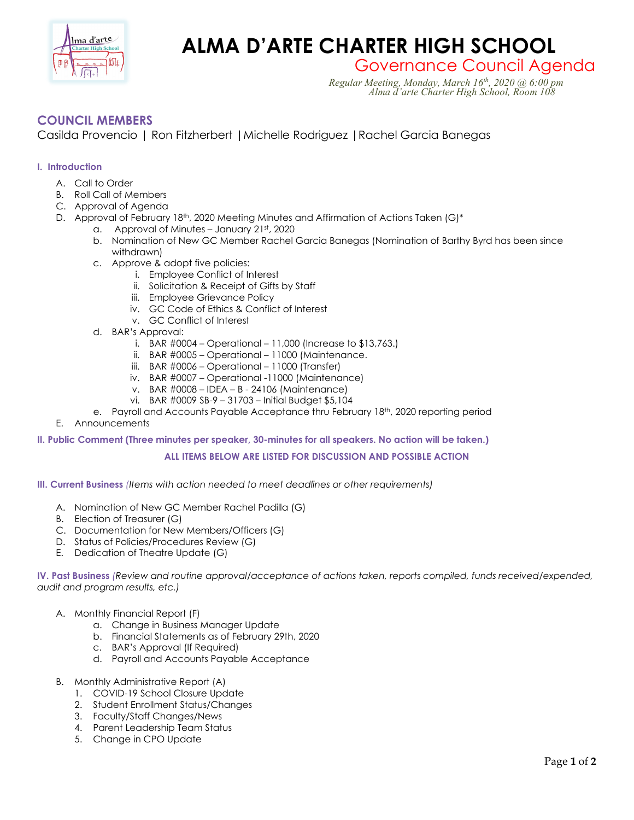

# **Charlacte ALMA D'ARTE CHARTER HIGH SCHOOL**

Governance Council Agenda *Regular Meeting, Monday, March 16th, 2020 @ 6:00 pm Alma d'arte Charter High School, Room 108*

## **COUNCIL MEMBERS**

Casilda Provencio | Ron Fitzherbert |Michelle Rodriguez |Rachel Garcia Banegas

### **I. Introduction**

- A. Call to Order
- B. Roll Call of Members
- C. Approval of Agenda
- D. Approval of February 18<sup>th</sup>, 2020 Meeting Minutes and Affirmation of Actions Taken (G)\*
	- a. Approval of Minutes January  $21^{st}$ , 2020
	- b. Nomination of New GC Member Rachel Garcia Banegas (Nomination of Barthy Byrd has been since withdrawn)
	- c. Approve & adopt five policies:
		- i. Employee Conflict of Interest
		- ii. Solicitation & Receipt of Gifts by Staff
		- iii. Employee Grievance Policy
		- iv. GC Code of Ethics & Conflict of Interest
		- v. GC Conflict of Interest
	- d. BAR's Approval:
		- i. BAR #0004 Operational 11,000 (Increase to \$13,763.)
		- ii. BAR #0005 Operational 11000 (Maintenance.
		- iii. BAR #0006 Operational 11000 (Transfer)
		- iv. BAR #0007 Operational -11000 (Maintenance)
		- v. BAR #0008 IDEA B 24106 (Maintenance)
		- vi. BAR #0009 SB-9 31703 Initial Budget \$5,104
	- e. Payroll and Accounts Payable Acceptance thru February 18th, 2020 reporting period
- E. Announcements

#### **II. Public Comment (Three minutes per speaker, 30-minutes for all speakers. No action will be taken.)**

#### **ALL ITEMS BELOW ARE LISTED FOR DISCUSSION AND POSSIBLE ACTION**

#### **III. Current Business** *(Items with action needed to meet deadlines or other requirements)*

- A. Nomination of New GC Member Rachel Padilla (G)
- B. Election of Treasurer (G)
- C. Documentation for New Members/Officers (G)
- D. Status of Policies/Procedures Review (G)
- E. Dedication of Theatre Update (G)

**IV. Past Business** *(Review and routine approval/acceptance of actions taken, reports compiled, funds received/expended, audit and program results, etc.)*

- A. Monthly Financial Report (F)
	- a. Change in Business Manager Update
	- b. Financial Statements as of February 29th, 2020
	- c. BAR's Approval (If Required)
	- d. Payroll and Accounts Payable Acceptance
- B. Monthly Administrative Report (A)
	- 1. COVID-19 School Closure Update
	- 2. Student Enrollment Status/Changes
	- 3. Faculty/Staff Changes/News
	- 4. Parent Leadership Team Status
	- 5. Change in CPO Update